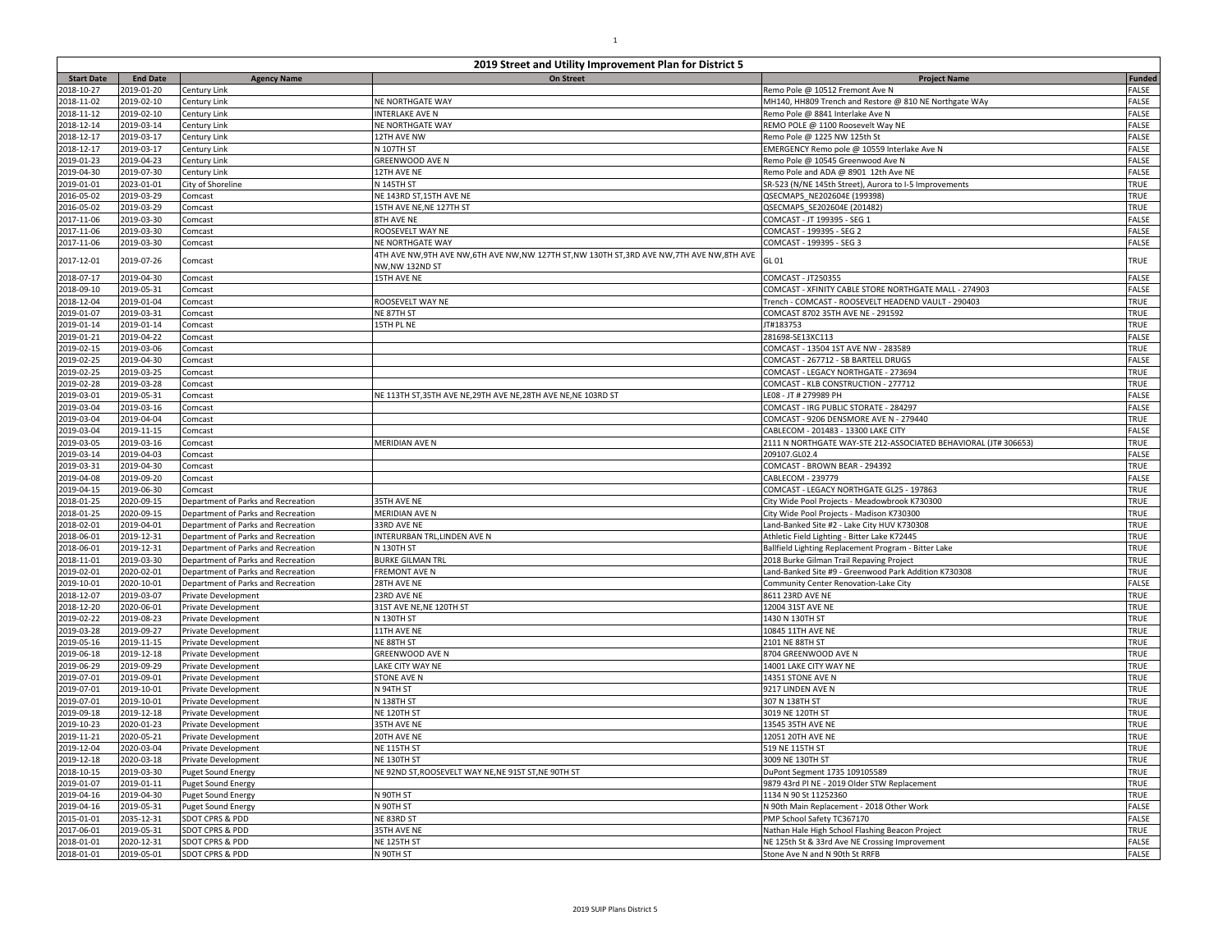|                          | 2019 Street and Utility Improvement Plan for District 5 |                                                                          |                                                                                               |                                                                  |               |  |
|--------------------------|---------------------------------------------------------|--------------------------------------------------------------------------|-----------------------------------------------------------------------------------------------|------------------------------------------------------------------|---------------|--|
| <b>Start Date</b>        | <b>End Date</b>                                         | <b>Agency Name</b>                                                       | On Street                                                                                     | <b>Project Name</b>                                              | <b>Funded</b> |  |
| 2018-10-27               | 2019-01-20                                              | Century Link                                                             |                                                                                               | Remo Pole @ 10512 Fremont Ave N                                  | FALSE         |  |
| 2018-11-02               | 2019-02-10                                              | Century Link                                                             | <b>NE NORTHGATE WAY</b>                                                                       | MH140, HH809 Trench and Restore @ 810 NE Northgate WAy           | FALSE         |  |
| 2018-11-12               | 2019-02-10                                              | Century Link                                                             | <b>INTERLAKE AVE N</b>                                                                        | Remo Pole @ 8841 Interlake Ave N                                 | FALSE         |  |
| 2018-12-14               | 2019-03-14                                              | Century Link                                                             | NE NORTHGATE WAY                                                                              | REMO POLE @ 1100 Roosevelt Way NE                                | FALSE         |  |
| 2018-12-17               | 2019-03-17                                              | Century Link                                                             | 12TH AVE NW                                                                                   | Remo Pole @ 1225 NW 125th St                                     | FALSE         |  |
| 2018-12-17               | 2019-03-17                                              | Century Link                                                             | N 107TH ST                                                                                    | EMERGENCY Remo pole @ 10559 Interlake Ave N                      | FALSE         |  |
| 2019-01-23               | 2019-04-23                                              | Century Link                                                             | GREENWOOD AVE N                                                                               | Remo Pole @ 10545 Greenwood Ave N                                | FALSE         |  |
| 2019-04-30               | 2019-07-30                                              | Century Link                                                             | 12TH AVE NE                                                                                   | Remo Pole and ADA @ 8901 12th Ave NE                             | FALSE         |  |
| 2019-01-01               | 2023-01-01                                              | City of Shoreline                                                        | N 145TH ST                                                                                    | SR-523 (N/NE 145th Street), Aurora to I-5 Improvements           | <b>TRUE</b>   |  |
| 2016-05-02               | 2019-03-29                                              | Comcast                                                                  | NE 143RD ST, 15TH AVE NE                                                                      | QSECMAPS NE202604E (199398)                                      | TRUE          |  |
| 2016-05-02               | 2019-03-29                                              | Comcast                                                                  | 15TH AVE NE, NE 127TH ST                                                                      | QSECMAPS SE202604E (201482)                                      | TRUE          |  |
| 2017-11-06               | 2019-03-30                                              | Comcast                                                                  | 8TH AVE NE                                                                                    | COMCAST - JT 199395 - SEG 1                                      | FALSE         |  |
| 2017-11-06               | 2019-03-30                                              | Comcast                                                                  | ROOSEVELT WAY NE                                                                              | COMCAST - 199395 - SEG 2                                         | FALSE         |  |
| 2017-11-06               | 2019-03-30                                              | Comcast                                                                  | NE NORTHGATE WAY                                                                              | COMCAST - 199395 - SEG 3                                         | FALSE         |  |
| 2017-12-01               | 2019-07-26                                              | Comcast                                                                  | 4TH AVE NW, 9TH AVE NW, 6TH AVE NW, NW 127TH ST, NW 130TH ST, 3RD AVE NW, 7TH AVE NW, 8TH AVE | GL 01                                                            | <b>TRUE</b>   |  |
|                          |                                                         |                                                                          | NW, NW 132ND ST                                                                               |                                                                  |               |  |
| 2018-07-17               | 2019-04-30                                              | Comcast                                                                  | 15TH AVE NE                                                                                   | COMCAST - JT250355                                               | FALSE         |  |
| 2018-09-10               | 2019-05-31                                              | Comcast                                                                  |                                                                                               | COMCAST - XFINITY CABLE STORE NORTHGATE MALL - 274903            | FALSE         |  |
| 2018-12-04               | 2019-01-04                                              | Comcast                                                                  | ROOSEVELT WAY NE                                                                              | Trench - COMCAST - ROOSEVELT HEADEND VAULT - 290403              | TRUE          |  |
| 2019-01-07               | 2019-03-31                                              | Comcast                                                                  | NE 87TH ST                                                                                    | COMCAST 8702 35TH AVE NE - 291592                                | TRUE          |  |
| 2019-01-14               | 2019-01-14                                              | Comcast                                                                  | 15TH PL NE                                                                                    | JT#183753                                                        | TRUE          |  |
| 2019-01-21               | 2019-04-22                                              | Comcast                                                                  |                                                                                               | 281698-SE13XC113                                                 | FALSE         |  |
| 2019-02-15               | 2019-03-06                                              | Comcast                                                                  |                                                                                               | COMCAST - 13504 1ST AVE NW - 283589                              | TRUE          |  |
| 2019-02-25               | 2019-04-30                                              | Comcast                                                                  |                                                                                               | COMCAST - 267712 - SB BARTELL DRUGS                              | FALSE         |  |
| 2019-02-25               | 2019-03-25                                              | Comcast                                                                  |                                                                                               | COMCAST - LEGACY NORTHGATE - 273694                              | TRUE          |  |
| 2019-02-28               | 2019-03-28                                              | Comcast                                                                  |                                                                                               | COMCAST - KLB CONSTRUCTION - 277712                              | TRUE          |  |
| 2019-03-01               | 2019-05-31                                              | Comcast                                                                  | NE 113TH ST, 35TH AVE NE, 29TH AVE NE, 28TH AVE NE, NE 103RD ST                               | LE08 - JT # 279989 PH                                            | FALSE         |  |
| 2019-03-04               | 2019-03-16                                              | Comcast                                                                  |                                                                                               | COMCAST - IRG PUBLIC STORATE - 284297                            | FALSE         |  |
| 2019-03-04               | 2019-04-04                                              | Comcast                                                                  |                                                                                               | COMCAST - 9206 DENSMORE AVE N - 279440                           | TRUE          |  |
| 2019-03-04               | 2019-11-15                                              | Comcast                                                                  |                                                                                               | CABLECOM - 201483 - 13300 LAKE CITY                              | FALSE         |  |
| 2019-03-05               | 2019-03-16                                              | Comcast                                                                  | <b>MERIDIAN AVE N</b>                                                                         | 2111 N NORTHGATE WAY-STE 212-ASSOCIATED BEHAVIORAL (JT# 306653)  | TRUE          |  |
| 2019-03-14               | 2019-04-03                                              | Comcast                                                                  |                                                                                               | 209107.GL02.4                                                    | FALSE         |  |
| 2019-03-31               | 2019-04-30                                              | Comcast                                                                  |                                                                                               | COMCAST - BROWN BEAR - 294392                                    | TRUE          |  |
| 2019-04-08               | 2019-09-20                                              | Comcast                                                                  |                                                                                               | CABLECOM - 239779<br>COMCAST - LEGACY NORTHGATE GL25 - 197863    | FALSE         |  |
| 2019-04-15<br>2018-01-25 | 2019-06-30<br>2020-09-15                                | Comcast                                                                  |                                                                                               |                                                                  | TRUE<br>TRUE  |  |
|                          |                                                         | Department of Parks and Recreation                                       | 35TH AVE NE                                                                                   | City Wide Pool Projects - Meadowbrook K730300                    |               |  |
| 2018-01-25               | 2020-09-15                                              | Department of Parks and Recreation                                       | <b>MERIDIAN AVE N</b>                                                                         | City Wide Pool Projects - Madison K730300                        | TRUE<br>TRUE  |  |
| 2018-02-01               | 2019-04-01                                              | Department of Parks and Recreation                                       | 33RD AVE NE                                                                                   | Land-Banked Site #2 - Lake City HUV K730308                      | TRUE          |  |
| 2018-06-01<br>2018-06-01 | 2019-12-31                                              | Department of Parks and Recreation<br>Department of Parks and Recreation | INTERURBAN TRL, LINDEN AVE N<br>N 130TH ST                                                    | Athletic Field Lighting - Bitter Lake K72445                     | <b>TRUE</b>   |  |
|                          | 2019-12-31                                              |                                                                          | <b>BURKE GILMAN TRL</b>                                                                       | Ballfield Lighting Replacement Program - Bitter Lake             | TRUE          |  |
| 2018-11-01               | 2019-03-30<br>2020-02-01                                | Department of Parks and Recreation                                       | <b>FREMONT AVE N</b>                                                                          | 2018 Burke Gilman Trail Repaving Project                         |               |  |
| 2019-02-01               |                                                         | Department of Parks and Recreation                                       |                                                                                               | Land-Banked Site #9 - Greenwood Park Addition K730308            | TRUE          |  |
| 2019-10-01               | 2020-10-01<br>2019-03-07                                | Department of Parks and Recreation                                       | 28TH AVE NE                                                                                   | <b>Community Center Renovation-Lake City</b><br>8611 23RD AVE NE | FALSE<br>TRUE |  |
| 2018-12-07<br>2018-12-20 | 2020-06-01                                              | Private Development                                                      | 23RD AVE NE<br>31ST AVE NE, NE 120TH ST                                                       | 12004 31ST AVE NE                                                | TRUE          |  |
|                          |                                                         | Private Development                                                      |                                                                                               | 1430 N 130TH ST                                                  | TRUE          |  |
| 2019-02-22<br>2019-03-28 | 2019-08-23<br>2019-09-27                                | Private Development<br>Private Development                               | N 130TH ST<br>11TH AVE NE                                                                     | 10845 11TH AVE NE                                                | <b>TRUE</b>   |  |
|                          |                                                         |                                                                          |                                                                                               |                                                                  | TRUE          |  |
| 2019-05-16               | 2019-11-15<br>2019-12-18                                | Private Development                                                      | NE 88TH ST<br><b>GREENWOOD AVE N</b>                                                          | 2101 NE 88TH ST                                                  | TRUE          |  |
| 2019-06-18<br>2019-06-29 | 2019-09-29                                              | Private Development                                                      | LAKE CITY WAY NE                                                                              | 8704 GREENWOOD AVE N<br>14001 LAKE CITY WAY NE                   | TRUE          |  |
| 2019-07-01               | 2019-09-01                                              | <b>Private Development</b>                                               | <b>STONE AVE N</b>                                                                            | 14351 STONE AVE N                                                | <b>TRUE</b>   |  |
| 2019-07-01               | 2019-10-01                                              | Private Development                                                      | N 94TH ST                                                                                     | 9217 LINDEN AVE N                                                | TRUE          |  |
| 2019-07-01               | 2019-10-01                                              | Private Development<br>Private Development                               | N 138TH ST                                                                                    | 307 N 138TH ST                                                   | TRUE          |  |
| 2019-09-18               | 2019-12-18                                              |                                                                          |                                                                                               | 3019 NE 120TH ST                                                 | TRUE          |  |
| 2019-10-23               | 2020-01-23                                              | Private Development                                                      | NE 120TH ST<br>35TH AVE NE                                                                    | 13545 35TH AVE NE                                                | TRUE          |  |
| 2019-11-21               | 2020-05-21                                              | Private Development<br>Private Development                               | 20TH AVE NE                                                                                   | 12051 20TH AVE NE                                                | TRUE          |  |
|                          |                                                         |                                                                          |                                                                                               |                                                                  |               |  |
| 2019-12-04<br>2019-12-18 | 2020-03-04<br>2020-03-18                                | Private Development<br>Private Development                               | NE 115TH ST<br>NE 130TH ST                                                                    | 519 NE 115TH ST<br>3009 NE 130TH ST                              | TRUE<br>TRUE  |  |
| 2018-10-15               | 2019-03-30                                              |                                                                          | NE 92ND ST, ROOSEVELT WAY NE, NE 91ST ST, NE 90TH ST                                          | DuPont Segment 1735 109105589                                    | TRUE          |  |
|                          | 2019-01-11                                              | <b>Puget Sound Energy</b>                                                |                                                                                               | 9879 43rd Pl NE - 2019 Older STW Replacement                     | TRUE          |  |
| 2019-01-07<br>2019-04-16 | 2019-04-30                                              | <b>Puget Sound Energy</b>                                                | N 90TH ST                                                                                     | 1134 N 90 St 11252360                                            | <b>TRUE</b>   |  |
|                          |                                                         | <b>Puget Sound Energy</b>                                                |                                                                                               |                                                                  |               |  |
| 2019-04-16               | 2019-05-31                                              | <b>Puget Sound Energy</b>                                                | N 90TH ST                                                                                     | N 90th Main Replacement - 2018 Other Work                        | FALSE         |  |
| 2015-01-01               | 2035-12-31                                              | <b>SDOT CPRS &amp; PDD</b>                                               | NE 83RD ST                                                                                    | PMP School Safety TC367170                                       | FALSE         |  |
| 2017-06-01               | 2019-05-31                                              | <b>SDOT CPRS &amp; PDD</b>                                               | 35TH AVE NE                                                                                   | Nathan Hale High School Flashing Beacon Project                  | TRUE          |  |
| 2018-01-01               | 2020-12-31                                              | <b>SDOT CPRS &amp; PDD</b>                                               | NE 125TH ST                                                                                   | NE 125th St & 33rd Ave NE Crossing Improvement                   | FALSE         |  |
| 2018-01-01               | 2019-05-01                                              | <b>SDOT CPRS &amp; PDD</b>                                               | N 90TH ST                                                                                     | Stone Ave N and N 90th St RRFB                                   | FALSE         |  |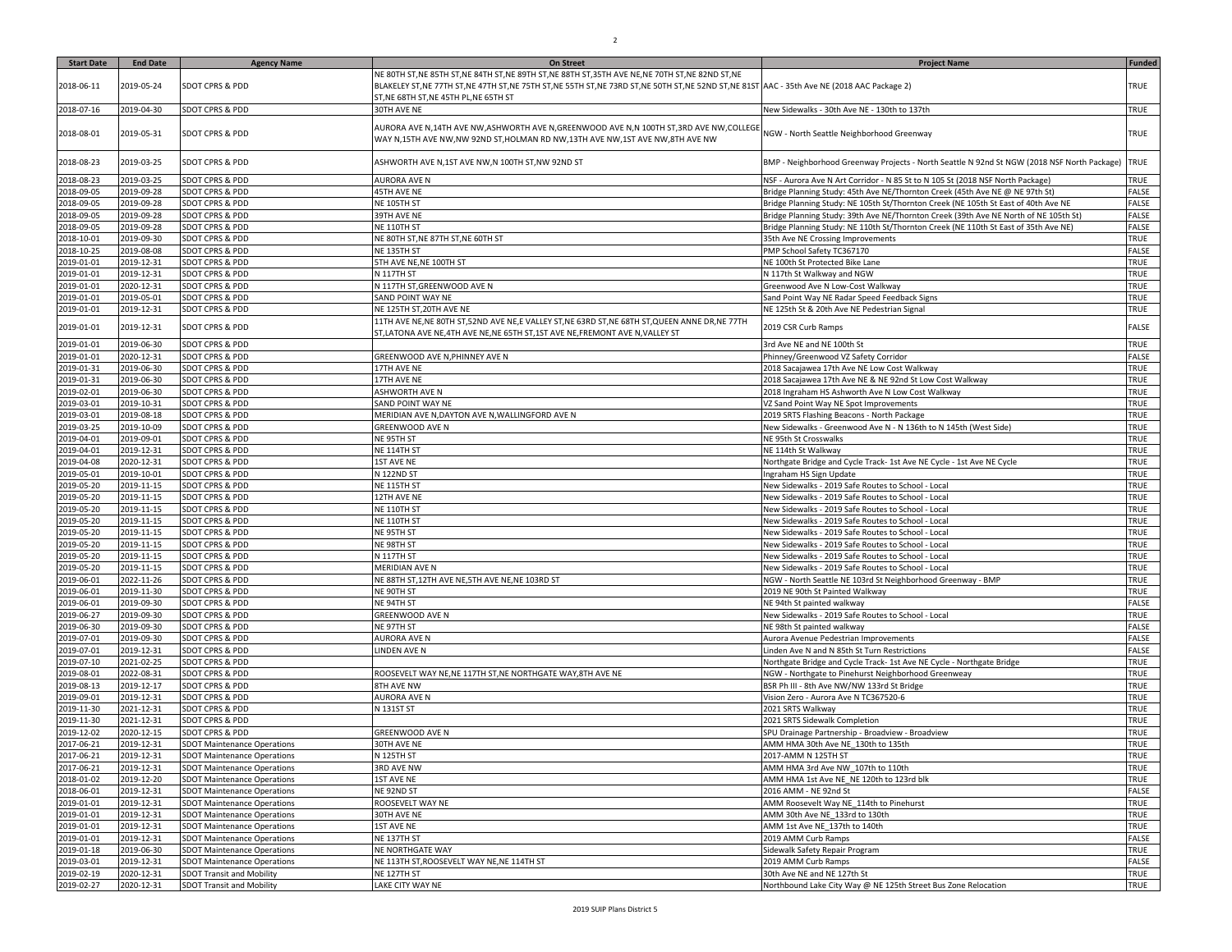| <b>Start Date</b>        | <b>End Date</b>          | <b>Agency Name</b>                                       | <b>On Street</b>                                                                                                                                                                  | <b>Project Name</b>                                                                                      | <b>Funded</b>       |
|--------------------------|--------------------------|----------------------------------------------------------|-----------------------------------------------------------------------------------------------------------------------------------------------------------------------------------|----------------------------------------------------------------------------------------------------------|---------------------|
|                          |                          |                                                          | NE 80TH ST,NE 85TH ST,NE 84TH ST,NE 89TH ST,NE 88TH ST,35TH AVE NE,NE 70TH ST,NE 82ND ST,NE                                                                                       |                                                                                                          |                     |
| 2018-06-11               | 2019-05-24               | <b>SDOT CPRS &amp; PDD</b>                               | BLAKELEY ST,NE 77TH ST,NE 47TH ST,NE 75TH ST,NE 55TH ST,NE 73RD ST,NE 50TH ST,NE 52ND ST,NE 81ST AAC - 35th Ave NE (2018 AAC Package 2)<br>ST, NE 68TH ST, NE 45TH PL, NE 65TH ST |                                                                                                          | TRUE                |
| 2018-07-16               | 2019-04-30               | <b>SDOT CPRS &amp; PDD</b>                               | 30TH AVE NE                                                                                                                                                                       | New Sidewalks - 30th Ave NE - 130th to 137th                                                             | TRUE                |
| 2018-08-01               | 2019-05-31               | <b>SDOT CPRS &amp; PDD</b>                               | AURORA AVE N,14TH AVE NW,ASHWORTH AVE N,GREENWOOD AVE N,N 100TH ST,3RD AVE NW,COLLEGE<br>WAY N,15TH AVE NW,NW 92ND ST,HOLMAN RD NW,13TH AVE NW,1ST AVE NW,8TH AVE NW              | NGW - North Seattle Neighborhood Greenway                                                                | <b>TRUE</b>         |
| 2018-08-23               | 2019-03-25               | <b>SDOT CPRS &amp; PDD</b>                               | ASHWORTH AVE N,1ST AVE NW,N 100TH ST,NW 92ND ST                                                                                                                                   | BMP - Neighborhood Greenway Projects - North Seattle N 92nd St NGW (2018 NSF North Package)              | <b>TRUE</b>         |
| 2018-08-23               | 2019-03-25               | <b>SDOT CPRS &amp; PDD</b>                               | AURORA AVE N                                                                                                                                                                      | NSF - Aurora Ave N Art Corridor - N 85 St to N 105 St (2018 NSF North Package)                           | TRUE                |
| 2018-09-05               | 2019-09-28               | <b>SDOT CPRS &amp; PDD</b>                               | 45TH AVE NE                                                                                                                                                                       | Bridge Planning Study: 45th Ave NE/Thornton Creek (45th Ave NE @ NE 97th St)                             | FALSE               |
| 2018-09-05               | 2019-09-28               | <b>SDOT CPRS &amp; PDD</b>                               | NE 105TH ST                                                                                                                                                                       | Bridge Planning Study: NE 105th St/Thornton Creek (NE 105th St East of 40th Ave NE                       | FALSE               |
| 2018-09-05               | 2019-09-28               | <b>SDOT CPRS &amp; PDD</b>                               | 39TH AVE NE                                                                                                                                                                       | Bridge Planning Study: 39th Ave NE/Thornton Creek (39th Ave NE North of NE 105th St)                     | FALSE               |
| 2018-09-05               | 2019-09-28               | <b>SDOT CPRS &amp; PDD</b>                               | NE 110TH ST                                                                                                                                                                       | Bridge Planning Study: NE 110th St/Thornton Creek (NE 110th St East of 35th Ave NE)                      | FALSE               |
| 2018-10-01               | 2019-09-30               | <b>SDOT CPRS &amp; PDD</b>                               | NE 80TH ST, NE 87TH ST, NE 60TH ST                                                                                                                                                | 35th Ave NE Crossing Improvements                                                                        | TRUE                |
| 2018-10-25               | 2019-08-08               | <b>SDOT CPRS &amp; PDD</b>                               | NE 135TH ST                                                                                                                                                                       | PMP School Safety TC367170                                                                               | FALSE               |
| 2019-01-01               | 2019-12-31               | <b>SDOT CPRS &amp; PDD</b>                               | 5TH AVE NE, NE 100TH ST                                                                                                                                                           | NE 100th St Protected Bike Lane                                                                          | TRUE                |
| 2019-01-01               | 2019-12-31               | <b>SDOT CPRS &amp; PDD</b>                               | N 117TH ST                                                                                                                                                                        | N 117th St Walkway and NGW                                                                               | TRUE                |
| 2019-01-01               | 2020-12-31               | <b>SDOT CPRS &amp; PDD</b>                               | N 117TH ST, GREENWOOD AVE N                                                                                                                                                       | Greenwood Ave N Low-Cost Walkway                                                                         | TRUE                |
| 2019-01-01               | 2019-05-01               | <b>SDOT CPRS &amp; PDD</b><br><b>SDOT CPRS &amp; PDD</b> | SAND POINT WAY NE                                                                                                                                                                 | Sand Point Way NE Radar Speed Feedback Signs                                                             | TRUE<br>TRUE        |
| 2019-01-01               | 2019-12-31               |                                                          | NE 125TH ST,20TH AVE NE                                                                                                                                                           | NE 125th St & 20th Ave NE Pedestrian Signal                                                              |                     |
| 2019-01-01               | 2019-12-31               | <b>SDOT CPRS &amp; PDD</b>                               | 11TH AVE NE,NE 80TH ST,52ND AVE NE,E VALLEY ST,NE 63RD ST,NE 68TH ST,QUEEN ANNE DR,NE 77TH<br>ST,LATONA AVE NE,4TH AVE NE,NE 65TH ST,1ST AVE NE,FREMONT AVE N,VALLEY ST           | 2019 CSR Curb Ramps                                                                                      | FALSE               |
| 2019-01-01               | 2019-06-30               | <b>SDOT CPRS &amp; PDD</b>                               |                                                                                                                                                                                   | 3rd Ave NE and NE 100th St                                                                               | TRUE                |
| 2019-01-01               | 2020-12-31               | <b>SDOT CPRS &amp; PDD</b>                               | GREENWOOD AVE N, PHINNEY AVE N                                                                                                                                                    | Phinney/Greenwood VZ Safety Corridor                                                                     | FALSE               |
| 2019-01-31               | 2019-06-30               | <b>SDOT CPRS &amp; PDD</b>                               | 17TH AVE NE                                                                                                                                                                       | 2018 Sacajawea 17th Ave NE Low Cost Walkway                                                              | TRUE                |
| 2019-01-31               | 2019-06-30               | <b>SDOT CPRS &amp; PDD</b>                               | 17TH AVE NE                                                                                                                                                                       | 2018 Sacajawea 17th Ave NE & NE 92nd St Low Cost Walkway                                                 | TRUE                |
| 2019-02-01               | 2019-06-30               | <b>SDOT CPRS &amp; PDD</b>                               | ASHWORTH AVE N                                                                                                                                                                    | 2018 Ingraham HS Ashworth Ave N Low Cost Walkway                                                         | TRUE                |
| 2019-03-01               | 2019-10-31               | <b>SDOT CPRS &amp; PDD</b>                               | SAND POINT WAY NE                                                                                                                                                                 | VZ Sand Point Way NE Spot Improvements                                                                   | TRUE                |
| 2019-03-01               | 2019-08-18               | <b>SDOT CPRS &amp; PDD</b>                               | MERIDIAN AVE N,DAYTON AVE N,WALLINGFORD AVE N                                                                                                                                     | 2019 SRTS Flashing Beacons - North Package                                                               | TRUE                |
| 2019-03-25               | 2019-10-09               | <b>SDOT CPRS &amp; PDD</b>                               | GREENWOOD AVE N                                                                                                                                                                   | New Sidewalks - Greenwood Ave N - N 136th to N 145th (West Side)                                         | TRUE                |
| 2019-04-01               | 2019-09-01               | <b>SDOT CPRS &amp; PDD</b>                               | NE 95TH ST                                                                                                                                                                        | NE 95th St Crosswalks                                                                                    | TRUE                |
| 2019-04-01               | 2019-12-31               | <b>SDOT CPRS &amp; PDD</b>                               | NE 114TH ST                                                                                                                                                                       | NE 114th St Walkway                                                                                      | TRUE                |
| 2019-04-08               | 2020-12-31               | <b>SDOT CPRS &amp; PDD</b>                               | <b>1ST AVE NE</b>                                                                                                                                                                 | Northgate Bridge and Cycle Track- 1st Ave NE Cycle - 1st Ave NE Cycle                                    | TRUE                |
| 2019-05-01               | 2019-10-01               | <b>SDOT CPRS &amp; PDD</b>                               | N 122ND ST                                                                                                                                                                        | Ingraham HS Sign Update                                                                                  | <b>TRUE</b><br>TRUE |
| 2019-05-20<br>2019-05-20 | 2019-11-15<br>2019-11-15 | <b>SDOT CPRS &amp; PDD</b><br><b>SDOT CPRS &amp; PDD</b> | NE 115TH ST<br>12TH AVE NE                                                                                                                                                        | New Sidewalks - 2019 Safe Routes to School - Local<br>New Sidewalks - 2019 Safe Routes to School - Local | TRUE                |
| 2019-05-20               | 2019-11-15               | <b>SDOT CPRS &amp; PDD</b>                               | NE 110TH ST                                                                                                                                                                       | New Sidewalks - 2019 Safe Routes to School - Local                                                       | TRUE                |
| 2019-05-20               | 2019-11-15               | <b>SDOT CPRS &amp; PDD</b>                               | NE 110TH ST                                                                                                                                                                       | New Sidewalks - 2019 Safe Routes to School - Local                                                       | TRUE                |
| 2019-05-20               | 2019-11-15               | <b>SDOT CPRS &amp; PDD</b>                               | NE 95TH ST                                                                                                                                                                        | New Sidewalks - 2019 Safe Routes to School - Local                                                       | TRUE                |
| 2019-05-20               | 2019-11-15               | <b>SDOT CPRS &amp; PDD</b>                               | NE 98TH ST                                                                                                                                                                        | New Sidewalks - 2019 Safe Routes to School - Local                                                       | TRUE                |
| 2019-05-20               | 2019-11-15               | <b>SDOT CPRS &amp; PDD</b>                               | N 117TH ST                                                                                                                                                                        | New Sidewalks - 2019 Safe Routes to School - Local                                                       | TRUE                |
| 2019-05-20               | 2019-11-15               | <b>SDOT CPRS &amp; PDD</b>                               | MERIDIAN AVE N                                                                                                                                                                    | New Sidewalks - 2019 Safe Routes to School - Local                                                       | TRUE                |
| 2019-06-01               | 2022-11-26               | <b>SDOT CPRS &amp; PDD</b>                               | NE 88TH ST,12TH AVE NE,5TH AVE NE,NE 103RD ST                                                                                                                                     | NGW - North Seattle NE 103rd St Neighborhood Greenway - BMP                                              | TRUE                |
| 2019-06-01               | 2019-11-30               | <b>SDOT CPRS &amp; PDD</b>                               | NE 90TH ST                                                                                                                                                                        | 2019 NE 90th St Painted Walkway                                                                          | TRUE                |
| 2019-06-01               | 2019-09-30               | <b>SDOT CPRS &amp; PDD</b>                               | NE 94TH ST                                                                                                                                                                        | NE 94th St painted walkway                                                                               | FALSE               |
| 2019-06-27               | 2019-09-30               | <b>SDOT CPRS &amp; PDD</b>                               | GREENWOOD AVE N                                                                                                                                                                   | New Sidewalks - 2019 Safe Routes to School - Local                                                       | TRUE                |
| 2019-06-30               | 2019-09-30               | <b>SDOT CPRS &amp; PDD</b>                               | NE 97TH ST                                                                                                                                                                        | NE 98th St painted walkway                                                                               | FALSE               |
| 2019-07-01               | 2019-09-30               | <b>SDOT CPRS &amp; PDD</b>                               | AURORA AVE N                                                                                                                                                                      | Aurora Avenue Pedestrian Improvements                                                                    | FALSE               |
| 2019-07-01               | 2019-12-31               | <b>SDOT CPRS &amp; PDD</b>                               | <b>LINDEN AVE N</b>                                                                                                                                                               | inden Ave N and N 85th St Turn Restrictions                                                              | FALSE               |
| 2019-07-10               | 2021-02-25               | <b>SDOT CPRS &amp; PDD</b>                               |                                                                                                                                                                                   | Northgate Bridge and Cycle Track- 1st Ave NE Cycle - Northgate Bridge                                    | TRUE                |
| 2019-08-01               | 2022-08-31               | <b>SDOT CPRS &amp; PDD</b>                               | ROOSEVELT WAY NE, NE 117TH ST, NE NORTHGATE WAY, 8TH AVE NE                                                                                                                       | NGW - Northgate to Pinehurst Neighborhood Greenweay                                                      | TRUE                |
| 2019-08-13               | 2019-12-17               | <b>SDOT CPRS &amp; PDD</b>                               | 8TH AVE NW<br><b>AURORA AVE N</b>                                                                                                                                                 | BSR Ph III - 8th Ave NW/NW 133rd St Bridge                                                               | TRUE                |
| 2019-09-01               | 2019-12-31               | <b>SDOT CPRS &amp; PDD</b><br><b>SDOT CPRS &amp; PDD</b> |                                                                                                                                                                                   | Vision Zero - Aurora Ave N TC367520-6                                                                    | TRUE                |
| 2019-11-30<br>2019-11-30 | 2021-12-31<br>2021-12-31 | <b>SDOT CPRS &amp; PDD</b>                               | N 131ST ST                                                                                                                                                                        | 2021 SRTS Walkway<br>2021 SRTS Sidewalk Completion                                                       | TRUE<br>TRUE        |
| 2019-12-02               | 2020-12-15               | <b>SDOT CPRS &amp; PDD</b>                               | GREENWOOD AVE N                                                                                                                                                                   | SPU Drainage Partnership - Broadview - Broadview                                                         | TRUE                |
| 2017-06-21               | 2019-12-31               | <b>SDOT Maintenance Operations</b>                       | 30TH AVE NE                                                                                                                                                                       | AMM HMA 30th Ave NE 130th to 135th                                                                       | TRUE                |
| 2017-06-21               | 2019-12-31               | <b>SDOT Maintenance Operations</b>                       | N 125TH ST                                                                                                                                                                        | 2017-AMM N 125TH ST                                                                                      | <b>TRUE</b>         |
| 2017-06-21               | 2019-12-31               | <b>SDOT Maintenance Operations</b>                       | 3RD AVE NW                                                                                                                                                                        | AMM HMA 3rd Ave NW 107th to 110th                                                                        | TRUE                |
| 2018-01-02               | 2019-12-20               | <b>SDOT Maintenance Operations</b>                       | 1ST AVE NE                                                                                                                                                                        | AMM HMA 1st Ave NE NE 120th to 123rd blk                                                                 | TRUE                |
| 2018-06-01               | 2019-12-31               | <b>SDOT Maintenance Operations</b>                       | NE 92ND ST                                                                                                                                                                        | 2016 AMM - NE 92nd St                                                                                    | FALSE               |
| 2019-01-01               | 2019-12-31               | <b>SDOT Maintenance Operations</b>                       | ROOSEVELT WAY NE                                                                                                                                                                  | AMM Roosevelt Way NE 114th to Pinehurst                                                                  | TRUE                |
| 2019-01-01               | 2019-12-31               | <b>SDOT Maintenance Operations</b>                       | 30TH AVE NE                                                                                                                                                                       | AMM 30th Ave NE 133rd to 130th                                                                           | TRUE                |
| 2019-01-01               | 2019-12-31               | <b>SDOT Maintenance Operations</b>                       | <b>1ST AVE NE</b>                                                                                                                                                                 | AMM 1st Ave NE 137th to 140th                                                                            | TRUE                |
| 2019-01-01               | 2019-12-31               | <b>SDOT Maintenance Operations</b>                       | NE 137TH ST                                                                                                                                                                       | 2019 AMM Curb Ramps                                                                                      | FALSE               |
| 2019-01-18               | 2019-06-30               | <b>SDOT Maintenance Operations</b>                       | NE NORTHGATE WAY                                                                                                                                                                  | Sidewalk Safety Repair Program                                                                           | TRUE                |
| 2019-03-01               | 2019-12-31               | <b>SDOT Maintenance Operations</b>                       | NE 113TH ST, ROOSEVELT WAY NE, NE 114TH ST                                                                                                                                        | 2019 AMM Curb Ramps                                                                                      | FALSE               |
| 2019-02-19               | 2020-12-31               | <b>SDOT Transit and Mobility</b>                         | NE 127TH ST                                                                                                                                                                       | 30th Ave NE and NE 127th St                                                                              | TRUE                |
| 2019-02-27               | 2020-12-31               | <b>SDOT Transit and Mobility</b>                         | LAKE CITY WAY NE                                                                                                                                                                  | Northbound Lake City Way @ NE 125th Street Bus Zone Relocation                                           | TRUE                |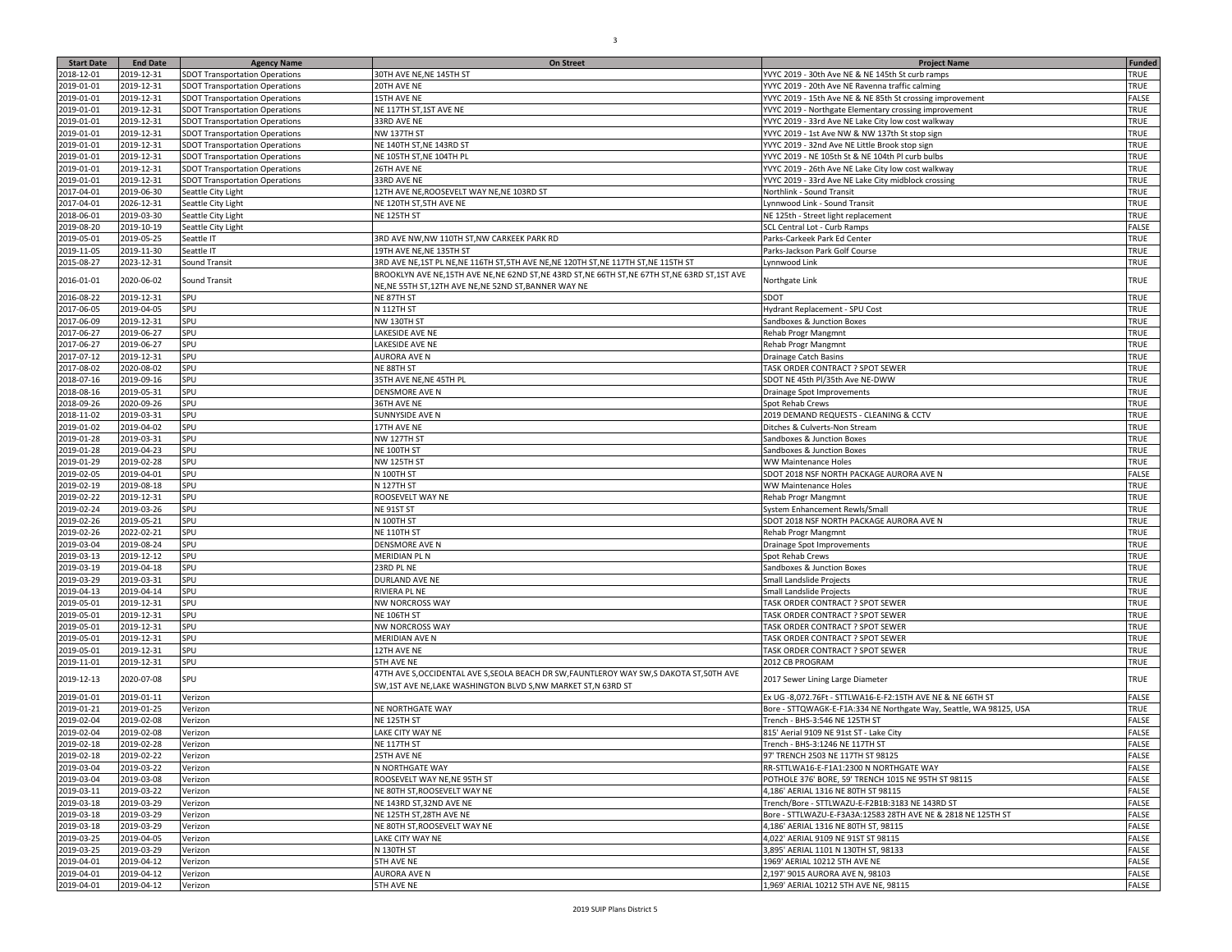| <b>Start Date</b> | <b>End Date</b> | <b>Agency Name</b>                    | <b>On Street</b>                                                                                  | <b>Project Name</b>                                                | <b>Funded</b> |
|-------------------|-----------------|---------------------------------------|---------------------------------------------------------------------------------------------------|--------------------------------------------------------------------|---------------|
| 2018-12-01        | 2019-12-31      | <b>SDOT Transportation Operations</b> | 30TH AVE NE, NE 145TH ST                                                                          | YVYC 2019 - 30th Ave NE & NE 145th St curb ramps                   | TRUE          |
| 2019-01-01        | 2019-12-31      | <b>SDOT Transportation Operations</b> | 20TH AVE NE                                                                                       | YVYC 2019 - 20th Ave NE Ravenna traffic calming                    | TRUE          |
| 2019-01-01        | 2019-12-31      | <b>SDOT Transportation Operations</b> | 15TH AVE NE                                                                                       | YVYC 2019 - 15th Ave NE & NE 85th St crossing improvement          | FALSE         |
|                   | 2019-12-31      |                                       | NE 117TH ST, 1ST AVE NE                                                                           |                                                                    | TRUE          |
| 2019-01-01        |                 | <b>SDOT Transportation Operations</b> |                                                                                                   | YVYC 2019 - Northgate Elementary crossing improvement              |               |
| 2019-01-01        | 2019-12-31      | <b>SDOT Transportation Operations</b> | 33RD AVE NE                                                                                       | YVYC 2019 - 33rd Ave NE Lake City low cost walkway                 | TRUE          |
| 2019-01-01        | 2019-12-31      | <b>SDOT Transportation Operations</b> | <b>NW 137TH ST</b>                                                                                | YVYC 2019 - 1st Ave NW & NW 137th St stop sign                     | TRUE          |
| 2019-01-01        | 2019-12-31      | <b>SDOT Transportation Operations</b> | NE 140TH ST, NE 143RD ST                                                                          | YVYC 2019 - 32nd Ave NE Little Brook stop sign                     | TRUE          |
| 2019-01-01        | 2019-12-31      | <b>SDOT Transportation Operations</b> | NE 105TH ST, NE 104TH PL                                                                          | YVYC 2019 - NE 105th St & NE 104th Pl curb bulbs                   | TRUE          |
| 2019-01-01        | 2019-12-31      | <b>SDOT Transportation Operations</b> | 26TH AVE NE                                                                                       | YVYC 2019 - 26th Ave NE Lake City low cost walkway                 | TRUE          |
| 2019-01-01        | 2019-12-31      | <b>SDOT Transportation Operations</b> | 33RD AVE NE                                                                                       | YVYC 2019 - 33rd Ave NE Lake City midblock crossing                | TRUE          |
| 2017-04-01        | 2019-06-30      | Seattle City Light                    | 12TH AVE NE, ROOSEVELT WAY NE, NE 103RD ST                                                        | Northlink - Sound Transit                                          | TRUE          |
| 2017-04-01        | 2026-12-31      | Seattle City Light                    | NE 120TH ST, 5TH AVE NE                                                                           | Lynnwood Link - Sound Transit                                      | TRUE          |
| 2018-06-01        | 2019-03-30      | Seattle City Light                    | NE 125TH ST                                                                                       | NE 125th - Street light replacement                                | TRUE          |
| 2019-08-20        | 2019-10-19      | Seattle City Light                    |                                                                                                   | SCL Central Lot - Curb Ramps                                       | FALSE         |
| 2019-05-01        | 2019-05-25      | Seattle IT                            | 3RD AVE NW, NW 110TH ST, NW CARKEEK PARK RD                                                       | Parks-Carkeek Park Ed Center                                       | <b>TRUE</b>   |
| 2019-11-05        | 2019-11-30      | Seattle IT                            | 19TH AVE NE, NE 135TH ST                                                                          | Parks-Jackson Park Golf Course                                     | TRUE          |
| 2015-08-27        | 2023-12-31      | Sound Transit                         | 3RD AVE NE, 1ST PL NE, NE 116TH ST, 5TH AVE NE, NE 120TH ST, NE 117TH ST, NE 115TH ST             | Lynnwood Link                                                      | TRUE          |
|                   |                 |                                       | BROOKLYN AVE NE, 15TH AVE NE, NE 62ND ST, NE 43RD ST, NE 66TH ST, NE 67TH ST, NE 63RD ST, 1ST AVE |                                                                    |               |
| 2016-01-01        | 2020-06-02      | Sound Transit                         | NE, NE 55TH ST, 12TH AVE NE, NE 52ND ST, BANNER WAY NE                                            | Northgate Link                                                     | TRUE          |
|                   |                 | SPU                                   | NE 87TH ST                                                                                        | SDOT                                                               | TRUE          |
| 2016-08-22        | 2019-12-31      |                                       |                                                                                                   |                                                                    |               |
| 2017-06-05        | 2019-04-05      | SPU                                   | N 112TH ST                                                                                        | Hydrant Replacement - SPU Cost                                     | TRUE          |
| 2017-06-09        | 2019-12-31      | SPU                                   | NW 130TH ST                                                                                       | Sandboxes & Junction Boxes                                         | TRUE          |
| 2017-06-27        | 2019-06-27      | SPU                                   | LAKESIDE AVE NE                                                                                   | <b>Rehab Progr Mangmnt</b>                                         | TRUE          |
| 2017-06-27        | 2019-06-27      | SPU                                   | LAKESIDE AVE NE                                                                                   | Rehab Progr Mangmnt                                                | TRUE          |
| 2017-07-12        | 2019-12-31      | SPU                                   | <b>AURORA AVE N</b>                                                                               | Drainage Catch Basins                                              | TRUE          |
| 2017-08-02        | 2020-08-02      | SPU                                   | NE 88TH ST                                                                                        | TASK ORDER CONTRACT ? SPOT SEWER                                   | TRUE          |
| 2018-07-16        | 2019-09-16      | SPU                                   | 35TH AVE NE, NE 45TH PL                                                                           | SDOT NE 45th Pl/35th Ave NE-DWW                                    | TRUE          |
| 2018-08-16        | 2019-05-31      | SPU                                   | DENSMORE AVE N                                                                                    | Drainage Spot Improvements                                         | TRUE          |
| 2018-09-26        | 2020-09-26      | SPU                                   | <b>36TH AVE NE</b>                                                                                | Spot Rehab Crews                                                   | TRUE          |
| 2018-11-02        | 2019-03-31      | SPU                                   | SUNNYSIDE AVE N                                                                                   | 2019 DEMAND REQUESTS - CLEANING & CCTV                             | TRUE          |
| 2019-01-02        | 2019-04-02      | SPU                                   | 17TH AVE NE                                                                                       | Ditches & Culverts-Non Stream                                      | TRUE          |
| 2019-01-28        | 2019-03-31      | SPU                                   | <b>NW 127TH ST</b>                                                                                | Sandboxes & Junction Boxes                                         | TRUE          |
| 2019-01-28        | 2019-04-23      | SPU                                   | NE 100TH ST                                                                                       | Sandboxes & Junction Boxes                                         | TRUE          |
| 2019-01-29        | 2019-02-28      | SPU                                   | <b>NW 125TH ST</b>                                                                                | <b>WW Maintenance Holes</b>                                        | TRUE          |
| 2019-02-05        | 2019-04-01      | SPU                                   | N 100TH ST                                                                                        | SDOT 2018 NSF NORTH PACKAGE AURORA AVE N                           | FALSE         |
|                   |                 | SPU                                   |                                                                                                   |                                                                    | TRUE          |
| 2019-02-19        | 2019-08-18      |                                       | N 127TH ST                                                                                        | WW Maintenance Holes                                               |               |
| 2019-02-22        | 2019-12-31      | SPU                                   | ROOSEVELT WAY NE                                                                                  | Rehab Progr Mangmnt                                                | TRUE          |
| 2019-02-24        | 2019-03-26      | SPU                                   | NE 91ST ST                                                                                        | System Enhancement Rewls/Small                                     | TRUE          |
| 2019-02-26        | 2019-05-21      | SPU                                   | N 100TH ST                                                                                        | SDOT 2018 NSF NORTH PACKAGE AURORA AVE N                           | TRUE          |
| 2019-02-26        | 2022-02-21      | SPU                                   | NE 110TH ST                                                                                       | Rehab Progr Mangmnt                                                | <b>TRUE</b>   |
| 2019-03-04        | 2019-08-24      | SPU                                   | DENSMORE AVE N                                                                                    | Drainage Spot Improvements                                         | TRUE          |
| 2019-03-13        | 2019-12-12      | SPU                                   | MERIDIAN PL N                                                                                     | Spot Rehab Crews                                                   | TRUE          |
| 2019-03-19        | 2019-04-18      | SPU                                   | 23RD PL NE                                                                                        | Sandboxes & Junction Boxes                                         | TRUE          |
| 2019-03-29        | 2019-03-31      | SPU                                   | DURLAND AVE NE                                                                                    | Small Landslide Projects                                           | TRUE          |
| 2019-04-13        | 2019-04-14      | SPU                                   | RIVIERA PL NE                                                                                     | Small Landslide Projects                                           | TRUE          |
| 2019-05-01        | 2019-12-31      | SPU                                   | <b>NW NORCROSS WAY</b>                                                                            | TASK ORDER CONTRACT ? SPOT SEWER                                   | TRUE          |
| 2019-05-01        | 2019-12-31      | SPU                                   | NE 106TH ST                                                                                       | TASK ORDER CONTRACT ? SPOT SEWER                                   | TRUE          |
| 2019-05-01        | 2019-12-31      | SPU                                   | NW NORCROSS WAY                                                                                   | TASK ORDER CONTRACT ? SPOT SEWER                                   | TRUE          |
| 2019-05-01        | 2019-12-31      | SPU                                   | MERIDIAN AVE N                                                                                    | TASK ORDER CONTRACT ? SPOT SEWER                                   | TRUE          |
| 2019-05-01        | 2019-12-31      | SPU                                   | 12TH AVE NE                                                                                       | TASK ORDER CONTRACT ? SPOT SEWER                                   | TRUE          |
| 2019-11-01        | 2019-12-31      | SPU                                   | 5TH AVE NE                                                                                        | 2012 CB PROGRAM                                                    | TRUE          |
|                   |                 |                                       | 47TH AVE S, OCCIDENTAL AVE S, SEOLA BEACH DR SW, FAUNTLEROY WAY SW, S DAKOTA ST, 50TH AVE         |                                                                    |               |
| 2019-12-13        | 2020-07-08      | SPU                                   | SW,1ST AVE NE,LAKE WASHINGTON BLVD S,NW MARKET ST,N 63RD ST                                       | 2017 Sewer Lining Large Diameter                                   | TRUE          |
|                   |                 |                                       |                                                                                                   |                                                                    |               |
| 2019-01-01        | 2019-01-11      | Verizon                               |                                                                                                   | Ex UG -8,072.76Ft - STTLWA16-E-F2:15TH AVE NE & NE 66TH ST         | FALSE         |
| 2019-01-21        | 2019-01-25      | Verizon                               | NE NORTHGATE WAY                                                                                  | Bore - STTQWAGK-E-F1A:334 NE Northgate Way, Seattle, WA 98125, USA | TRUE          |
| 2019-02-04        | 2019-02-08      | Verizon                               | NE 125TH ST                                                                                       | Trench - BHS-3:546 NE 125TH ST                                     | FALSE         |
| 2019-02-04        | 2019-02-08      | Verizon                               | LAKE CITY WAY NE                                                                                  | 815' Aerial 9109 NE 91st ST - Lake City                            | FALSE         |
| 2019-02-18        | 2019-02-28      | Verizon                               | NE 117TH ST                                                                                       | Trench - BHS-3:1246 NE 117TH ST                                    | FALSE         |
| 2019-02-18        | 2019-02-22      | Verizon                               | 25TH AVE NE                                                                                       | 97' TRENCH 2503 NE 117TH ST 98125                                  | FALSE         |
| 2019-03-04        | 2019-03-22      | Verizon                               | N NORTHGATE WAY                                                                                   | RR-STTLWA16-E-F1A1:2300 N NORTHGATE WAY                            | FALSE         |
| 2019-03-04        | 2019-03-08      | Verizon                               | ROOSEVELT WAY NE, NE 95TH ST                                                                      | POTHOLE 376' BORE, 59' TRENCH 1015 NE 95TH ST 98115                | FALSE         |
| 2019-03-11        | 2019-03-22      | Verizon                               | NE 80TH ST, ROOSEVELT WAY NE                                                                      | 4,186' AERIAL 1316 NE 80TH ST 98115                                | FALSE         |
| 2019-03-18        | 2019-03-29      | Verizon                               | NE 143RD ST, 32ND AVE NE                                                                          | Trench/Bore - STTLWAZU-E-F2B1B:3183 NE 143RD ST                    | FALSE         |
| 2019-03-18        | 2019-03-29      | Verizon                               | NE 125TH ST, 28TH AVE NE                                                                          | Bore - STTLWAZU-E-F3A3A:12583 28TH AVE NE & 2818 NE 125TH ST       | FALSE         |
| 2019-03-18        | 2019-03-29      | Verizon                               | NE 80TH ST, ROOSEVELT WAY NE                                                                      | 4,186' AERIAL 1316 NE 80TH ST, 98115                               | FALSE         |
| 2019-03-25        | 2019-04-05      | Verizon                               | LAKE CITY WAY NE                                                                                  | 4,022' AERIAL 9109 NE 91ST ST 98115                                | FALSE         |
| 2019-03-25        | 2019-03-29      | Verizon                               | N 130TH ST                                                                                        | 3,895' AERIAL 1101 N 130TH ST, 98133                               | FALSE         |
| 2019-04-01        | 2019-04-12      | Verizon                               | 5TH AVE NE                                                                                        | 1969' AERIAL 10212 5TH AVE NE                                      | FALSE         |
|                   | 2019-04-12      |                                       |                                                                                                   | 2,197' 9015 AURORA AVE N, 98103                                    | FALSE         |
| 2019-04-01        |                 | Verizon                               | <b>AURORA AVE N</b>                                                                               |                                                                    |               |
| 2019-04-01        | 2019-04-12      | Verizon                               | <b>5TH AVE NE</b>                                                                                 | 1,969' AERIAL 10212 5TH AVE NE, 98115                              | FALSE         |